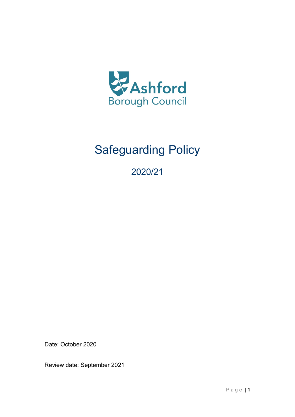

# Safeguarding Policy

2020/21

Date: October 2020

Review date: September 2021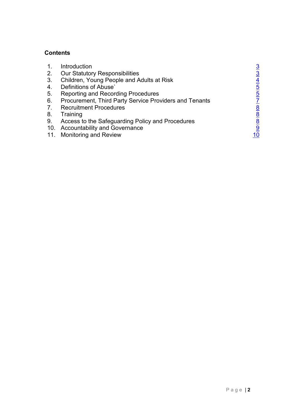#### **Contents**

| $\mathbf{1}$ . | Introduction                                           |                |
|----------------|--------------------------------------------------------|----------------|
| 2.             | <b>Our Statutory Responsibilities</b>                  | $\frac{3}{3}$  |
| 3.             | Children, Young People and Adults at Risk              | $\overline{4}$ |
| 4.             | Definitions of Abuse                                   |                |
| 5.             | <b>Reporting and Recording Procedures</b>              | $\frac{5}{5}$  |
| 6.             | Procurement, Third Party Service Providers and Tenants |                |
| 7 <sub>1</sub> | <b>Recruitment Procedures</b>                          | $\overline{8}$ |
| 8.             | Training                                               | 8              |
| 9.             | Access to the Safeguarding Policy and Procedures       |                |
|                | 10. Accountability and Governance                      | $\frac{8}{9}$  |
|                | 11. Monitoring and Review                              |                |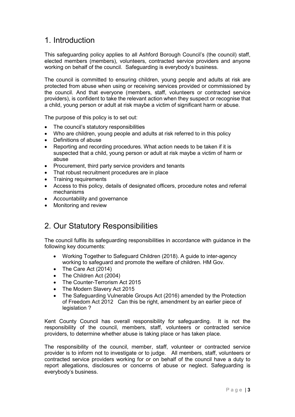### <span id="page-2-0"></span>1. Introduction

This safeguarding policy applies to all Ashford Borough Council's (the council) staff, elected members (members), volunteers, contracted service providers and anyone working on behalf of the council. Safeguarding is everybody's business.

The council is committed to ensuring children, young people and adults at risk are protected from abuse when using or receiving services provided or commissioned by the council. And that everyone (members, staff, volunteers or contracted service providers), is confident to take the relevant action when they suspect or recognise that a child, young person or adult at risk maybe a victim of significant harm or abuse.

The purpose of this policy is to set out:

- The council's statutory responsibilities
- Who are children, young people and adults at risk referred to in this policy
- Definitions of abuse
- Reporting and recording procedures. What action needs to be taken if it is suspected that a child, young person or adult at risk maybe a victim of harm or abuse
- Procurement, third party service providers and tenants
- That robust recruitment procedures are in place
- Training requirements
- Access to this policy, details of designated officers, procedure notes and referral mechanisms
- Accountability and governance
- Monitoring and review

# <span id="page-2-1"></span>2. Our Statutory Responsibilities

The council fulfils its safeguarding responsibilities in accordance with guidance in the following key documents:

- Working Together to Safeguard Children (2018). A guide to inter-agency working to safeguard and promote the welfare of children. HM Gov.
- The Care Act (2014)
- The Children Act (2004)
- The Counter-Terrorism Act 2015
- The Modern Slavery Act 2015
- The Safeguarding Vulnerable Groups Act (2016) amended by the Protection of Freedom Act 2012 Can this be right, amendment by an earlier piece of legislation ?

Kent County Council has overall responsibility for safeguarding. It is not the responsibility of the council, members, staff, volunteers or contracted service providers, to determine whether abuse is taking place or has taken place.

The responsibility of the council, member, staff, volunteer or contracted service provider is to inform not to investigate or to judge. All members, staff, volunteers or contracted service providers working for or on behalf of the council have a duty to report allegations, disclosures or concerns of abuse or neglect. Safeguarding is everybody's business.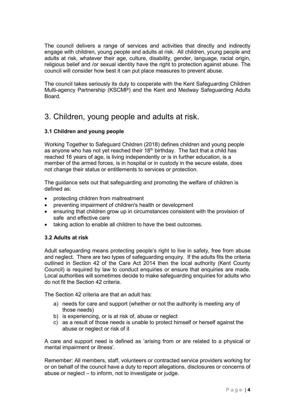The council delivers a range of services and activities that directly and indirectly engage with children, young people and adults at risk. All children, young people and adults at risk, whatever their age, culture, disability, gender, language, racial origin, religious belief and /or sexual identity have the right to protection against abuse. The council will consider how best it can put place measures to prevent abuse.

The council takes seriously its duty to cooperate with the Kent Safeguarding Children Multi-agency Partnership (KSCMP) and the Kent and Medway Safeguarding Adults Board.

### <span id="page-3-0"></span>3. Children, young people and adults at risk.

#### **3.1 Children and young people**

Working Together to Safeguard Children (2018) defines children and young people as anyone who has not yet reached their 18<sup>th</sup> birthday. The fact that a child has reached 16 years of age, is living independently or is in further education, is a member of the armed forces, is in hospital or in custody in the secure estate, does not change their status or entitlements to services or protection.

The guidance sets out that safeguarding and promoting the welfare of children is defined as:

- protecting children from maltreatment
- preventing impairment of children's health or development
- ensuring that children grow up in circumstances consistent with the provision of safe and effective care
- taking action to enable all children to have the best outcomes.

#### **3.2 Adults at risk**

Adult safeguarding means protecting people's right to live in safety, free from abuse and neglect. There are two types of safeguarding enquiry. If the adults fits the criteria outlined in Section 42 of the Care Act 2014 then the local authority (Kent County Council) is required by law to conduct enquiries or ensure that enquiries are made. Local authorities will sometimes decide to make safeguarding enquiries for adults who do not fit the Section 42 criteria.

The Section 42 criteria are that an adult has:

- a) needs for care and support (whether or not the authority is meeting any of those needs)
- b) is experiencing, or is at risk of, abuse or neglect
- c) as a result of those needs is unable to protect himself or herself against the abuse or neglect or risk of it

A care and support need is defined as 'arising from or are related to a physical or mental impairment or illness'.

Remember: All members, staff, volunteers or contracted service providers working for or on behalf of the council have a duty to report allegations, disclosures or concerns of abuse or neglect – to inform, not to investigate or judge.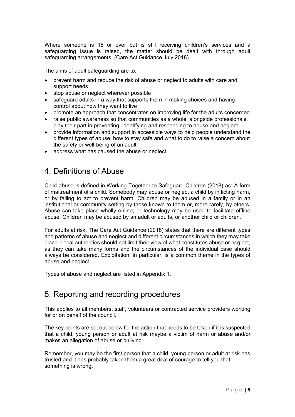Where someone is 18 or over but is still receiving children's services and a safeguarding issue is raised, the matter should be dealt with through adult safeguarding arrangements. (Care Act Guidance July 2018).

The aims of adult safeguarding are to:

- prevent harm and reduce the risk of abuse or neglect to adults with care and support needs
- stop abuse or neglect wherever possible
- safeguard adults in a way that supports them in making choices and having control about how they want to live
- promote an approach that concentrates on improving life for the adults concerned
- raise public awareness so that communities as a whole, alongside professionals, play their part in preventing, identifying and responding to abuse and neglect
- provide information and support in accessible ways to help people understand the different types of abuse, how to stay safe and what to do to raise a concern about the safety or well-being of an adult
- address what has caused the abuse or neglect

### <span id="page-4-0"></span>4. Definitions of Abuse

Child abuse is defined in Working Together to Safeguard Children (2018) as: A form of maltreatment of a child. Somebody may abuse or neglect a child by inflicting harm, or by failing to act to prevent harm. Children may be abused in a family or in an institutional or community setting by those known to them or, more rarely, by others. Abuse can take place wholly online, or technology may be used to facilitate offline abuse. Children may be abused by an adult or adults, or another child or children.

For adults at risk, The Care Act Guidance (2018) states that there are different types and patterns of abuse and neglect and different circumstances in which they may take place. Local authorities should not limit their view of what constitutes abuse or neglect, as they can take many forms and the circumstances of the individual case should always be considered. Exploitation, in particular, is a common theme in the types of abuse and neglect.

Types of abuse and neglect are listed in Appendix 1.

#### <span id="page-4-1"></span>5. Reporting and recording procedures

This applies to all members, staff, volunteers or contracted service providers working for or on behalf of the council.

The key points are set out below for the action that needs to be taken if it is suspected that a child, young person or adult at risk maybe a victim of harm or abuse and/or makes an allegation of abuse or bullying.

Remember, you may be the first person that a child, young person or adult at risk has trusted and it has probably taken them a great deal of courage to tell you that something is wrong.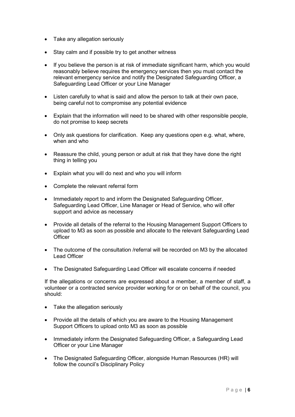- Take any allegation seriously
- Stay calm and if possible try to get another witness
- If you believe the person is at risk of immediate significant harm, which you would reasonably believe requires the emergency services then you must contact the relevant emergency service and notify the Designated Safeguarding Officer, a Safeguarding Lead Officer or your Line Manager
- Listen carefully to what is said and allow the person to talk at their own pace, being careful not to compromise any potential evidence
- Explain that the information will need to be shared with other responsible people, do not promise to keep secrets
- Only ask questions for clarification. Keep any questions open e.g. what, where, when and who
- Reassure the child, young person or adult at risk that they have done the right thing in telling you
- Explain what you will do next and who you will inform
- Complete the relevant referral form
- Immediately report to and inform the Designated Safeguarding Officer, Safeguarding Lead Officer, Line Manager or Head of Service, who will offer support and advice as necessary
- Provide all details of the referral to the Housing Management Support Officers to upload to M3 as soon as possible and allocate to the relevant Safeguarding Lead  $O<sub>f</sub>$ fficer
- The outcome of the consultation /referral will be recorded on M3 by the allocated Lead Officer
- The Designated Safeguarding Lead Officer will escalate concerns if needed

If the allegations or concerns are expressed about a member, a member of staff, a volunteer or a contracted service provider working for or on behalf of the council, you should:

- Take the allegation seriously
- Provide all the details of which you are aware to the Housing Management Support Officers to upload onto M3 as soon as possible
- Immediately inform the Designated Safeguarding Officer, a Safeguarding Lead Officer or your Line Manager
- The Designated Safeguarding Officer, alongside Human Resources (HR) will follow the council's Disciplinary Policy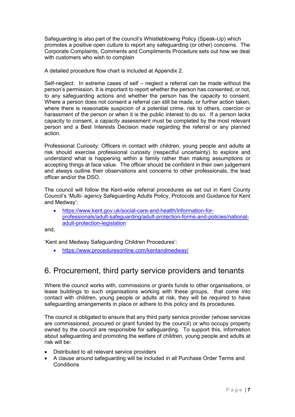Safeguarding is also part of the council's Whistleblowing Policy (Speak-Up) which promotes a positive open culture to report any safeguarding (or other) concerns. The Corporate Complaints, Comments and Compliments Procedure sets out how we deal with customers who wish to complain

A detailed procedure flow chart is included at Appendix 2.

Self-neglect: In extreme cases of self – neglect a referral can be made without the person's permission. It is important to report whether the person has consented, or not, to any safeguarding actions and whether the person has the capacity to consent. Where a person does not consent a referral can still be made, or further action taken, where there is reasonable suspicion of a potential crime, risk to others, coercion or harassment of the person or when it is the public interest to do so. If a person lacks capacity to consent, a capacity assessment must be completed by the most relevant person and a Best Interests Decision made regarding the referral or any planned action.

Professional Curiosity: Officers in contact with children, young people and adults at risk should exercise professional curiosity (respectful uncertainty) to explore and understand what is happening within a family rather than making assumptions or accepting things at face value. The officer should be confident in their own judgement and always outline their observations and concerns to other professionals, the lead officer and/or the DSO.

The council will follow the Kent-wide referral procedures as set out in Kent County Council's 'Multi- agency Safeguarding Adults Policy, Protocols and Guidance for Kent and Medway':

• [https://www.kent.gov.uk/social-care-and-health/information-for](https://www.kent.gov.uk/social-care-and-health/information-for-professionals/adult-safeguarding/adult-protection-forms-and-policies/national-adult-protection-legislation)[professionals/adult-safeguarding/adult-protection-forms-and-policies/national](https://www.kent.gov.uk/social-care-and-health/information-for-professionals/adult-safeguarding/adult-protection-forms-and-policies/national-adult-protection-legislation)[adult-protection-legislation](https://www.kent.gov.uk/social-care-and-health/information-for-professionals/adult-safeguarding/adult-protection-forms-and-policies/national-adult-protection-legislation)

and,

'Kent and Medway Safeguarding Children Procedures':

• <https://www.proceduresonline.com/kentandmedway/>

# <span id="page-6-0"></span>6. Procurement, third party service providers and tenants

Where the council works with, commissions or grants funds to other organisations, or lease buildings to such organisations working with these groups, that come into contact with children, young people or adults at risk, they will be required to have safeguarding arrangements in place or adhere to this policy and its procedures.

The council is obligated to ensure that any third party service provider (whose services are commissioned, procured or grant funded by the council) or who occupy property owned by the council are responsible for safeguarding. To support this, information about safeguarding and promoting the welfare of children, young people and adults at risk will be:

- Distributed to all relevant service providers
- A clause around safeguarding will be included in all Purchase Order Terms and **Conditions**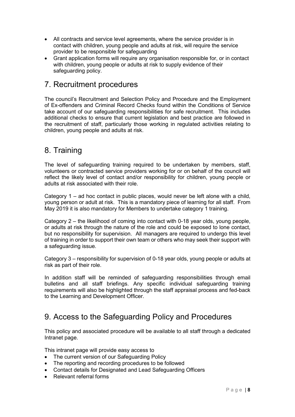- All contracts and service level agreements, where the service provider is in contact with children, young people and adults at risk, will require the service provider to be responsible for safeguarding
- Grant application forms will require any organisation responsible for, or in contact with children, young people or adults at risk to supply evidence of their safeguarding policy.

### <span id="page-7-0"></span>7. Recruitment procedures

The council's Recruitment and Selection Policy and Procedure and the Employment of Ex-offenders and Criminal Record Checks found within the Conditions of Service take account of our safeguarding responsibilities for safe recruitment. This includes additional checks to ensure that current legislation and best practice are followed in the recruitment of staff, particularly those working in regulated activities relating to children, young people and adults at risk.

# <span id="page-7-1"></span>8. Training

The level of safeguarding training required to be undertaken by members, staff, volunteers or contracted service providers working for or on behalf of the council will reflect the likely level of contact and/or responsibility for children, young people or adults at risk associated with their role.

Category 1 – ad hoc contact in public places, would never be left alone with a child, young person or adult at risk. This is a mandatory piece of learning for all staff. From May 2019 it is also mandatory for Members to undertake category 1 training.

Category 2 – the likelihood of coming into contact with 0-18 year olds, young people, or adults at risk through the nature of the role and could be exposed to lone contact, but no responsibility for supervision. All managers are required to undergo this level of training in order to support their own team or others who may seek their support with a safeguarding issue.

Category 3 – responsibility for supervision of 0-18 year olds, young people or adults at risk as part of their role.

In addition staff will be reminded of safeguarding responsibilities through email bulletins and all staff briefings. Any specific individual safeguarding training requirements will also be highlighted through the staff appraisal process and fed-back to the Learning and Development Officer.

# <span id="page-7-2"></span>9. Access to the Safeguarding Policy and Procedures

This policy and associated procedure will be available to all staff through a dedicated Intranet page.

This intranet page will provide easy access to

- The current version of our Safeguarding Policy
- The reporting and recording procedures to be followed
- Contact details for Designated and Lead Safeguarding Officers
- Relevant referral forms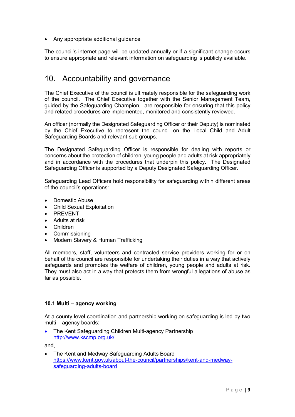• Any appropriate additional guidance

The council's internet page will be updated annually or if a significant change occurs to ensure appropriate and relevant information on safeguarding is publicly available.

### <span id="page-8-0"></span>10. Accountability and governance

The Chief Executive of the council is ultimately responsible for the safeguarding work of the council. The Chief Executive together with the Senior Management Team, guided by the Safeguarding Champion, are responsible for ensuring that this policy and related procedures are implemented, monitored and consistently reviewed.

An officer (normally the Designated Safeguarding Officer or their Deputy) is nominated by the Chief Executive to represent the council on the Local Child and Adult Safeguarding Boards and relevant sub groups.

The Designated Safeguarding Officer is responsible for dealing with reports or concerns about the protection of children, young people and adults at risk appropriately and in accordance with the procedures that underpin this policy. The Designated Safeguarding Officer is supported by a Deputy Designated Safeguarding Officer.

Safeguarding Lead Officers hold responsibility for safeguarding within different areas of the council's operations:

- Domestic Abuse
- Child Sexual Exploitation
- PREVENT
- Adults at risk
- Children
- Commissioning
- Modern Slavery & Human Trafficking

All members, staff, volunteers and contracted service providers working for or on behalf of the council are responsible for undertaking their duties in a way that actively safeguards and promotes the welfare of children, young people and adults at risk. They must also act in a way that protects them from wrongful allegations of abuse as far as possible.

#### **10.1 Multi – agency working**

At a county level coordination and partnership working on safeguarding is led by two multi – agency boards:

• The Kent Safeguarding Children Multi-agency Partnership <http://www.kscmp.org.uk/>

and,

• The Kent and Medway Safeguarding Adults Board [https://www.kent.gov.uk/about-the-council/partnerships/kent-and-medway](https://www.kent.gov.uk/about-the-council/partnerships/kent-and-medway-safeguarding-adults-board)[safeguarding-adults-board](https://www.kent.gov.uk/about-the-council/partnerships/kent-and-medway-safeguarding-adults-board)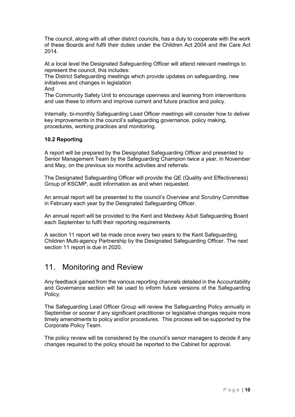The council, along with all other district councils, has a duty to cooperate with the work of these Boards and fulfil their duties under the Children Act 2004 and the Care Act 2014.

At a local level the Designated Safeguarding Officer will attend relevant meetings to represent the council, this includes:

The District Safeguarding meetings which provide updates on safeguarding, new initiatives and changes in legislation

And

The Community Safety Unit to encourage openness and learning from interventions and use these to inform and improve current and future practice and policy.

Internally, bi-monthly Safeguarding Lead Officer meetings will consider how to deliver key improvements in the council's safeguarding governance, policy making, procedures, working practices and monitoring.

#### **10.2 Reporting**

A report will be prepared by the Designated Safeguarding Officer and presented to Senior Management Team by the Safeguarding Champion twice a year, in November and May, on the previous six months activities and referrals.

The Designated Safeguarding Officer will provide the QE (Quality and Effectiveness) Group of KSCMP, audit information as and when requested.

An annual report will be presented to the council's Overview and Scrutiny Committee in February each year by the Designated Safeguarding Officer.

An annual report will be provided to the Kent and Medway Adult Safeguarding Board each September to fulfil their reporting requirements

A section 11 report will be made once every two years to the Kent Safeguarding Children Multi-agency Partnership by the Designated Safeguarding Officer. The next section 11 report is due in 2020.

#### <span id="page-9-0"></span>11. Monitoring and Review

Any feedback gained from the various reporting channels detailed in the Accountability and Governance section will be used to inform future versions of the Safeguarding Policy.

The Safeguarding Lead Officer Group will review the Safeguarding Policy annually in September or sooner if any significant practitioner or legislative changes require more timely amendments to policy and/or procedures. This process will be supported by the Corporate Policy Team.

The policy review will be considered by the council's senior managers to decide if any changes required to the policy should be reported to the Cabinet for approval.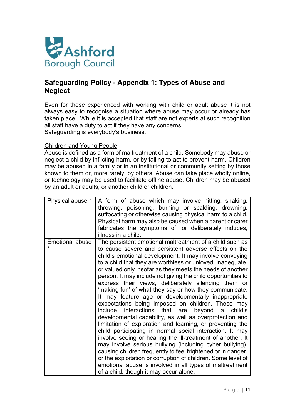

### **Safeguarding Policy - Appendix 1: Types of Abuse and Neglect**

Even for those experienced with working with child or adult abuse it is not always easy to recognise a situation where abuse may occur or already has taken place. While it is accepted that staff are not experts at such recognition all staff have a duty to act if they have any concerns. Safeguarding is everybody's business.

#### Children and Young People

Abuse is defined as a form of maltreatment of a child. Somebody may abuse or neglect a child by inflicting harm, or by failing to act to prevent harm. Children may be abused in a family or in an institutional or community setting by those known to them or, more rarely, by others. Abuse can take place wholly online, or technology may be used to facilitate offline abuse. Children may be abused by an adult or adults, or another child or children.

| Physical abuse *       | A form of abuse which may involve hitting, shaking,<br>throwing, poisoning, burning or scalding, drowning,<br>suffocating or otherwise causing physical harm to a child.<br>Physical harm may also be caused when a parent or carer<br>fabricates the symptoms of, or deliberately induces,<br>illness in a child.                                                                                                                                                                                                                                                                                                                                                                                                                                                                                                                                                                                                                                                                                                                                                                                                                                                                                               |
|------------------------|------------------------------------------------------------------------------------------------------------------------------------------------------------------------------------------------------------------------------------------------------------------------------------------------------------------------------------------------------------------------------------------------------------------------------------------------------------------------------------------------------------------------------------------------------------------------------------------------------------------------------------------------------------------------------------------------------------------------------------------------------------------------------------------------------------------------------------------------------------------------------------------------------------------------------------------------------------------------------------------------------------------------------------------------------------------------------------------------------------------------------------------------------------------------------------------------------------------|
| <b>Emotional abuse</b> | The persistent emotional maltreatment of a child such as<br>to cause severe and persistent adverse effects on the<br>child's emotional development. It may involve conveying<br>to a child that they are worthless or unloved, inadequate,<br>or valued only insofar as they meets the needs of another<br>person. It may include not giving the child opportunities to<br>express their views, deliberately silencing them or<br>'making fun' of what they say or how they communicate.<br>It may feature age or developmentally inappropriate<br>expectations being imposed on children. These may<br>interactions that are<br>include<br>beyond a child's<br>developmental capability, as well as overprotection and<br>limitation of exploration and learning, or preventing the<br>child participating in normal social interaction. It may<br>involve seeing or hearing the ill-treatment of another. It<br>may involve serious bullying (including cyber bullying),<br>causing children frequently to feel frightened or in danger,<br>or the exploitation or corruption of children. Some level of<br>emotional abuse is involved in all types of maltreatment<br>of a child, though it may occur alone. |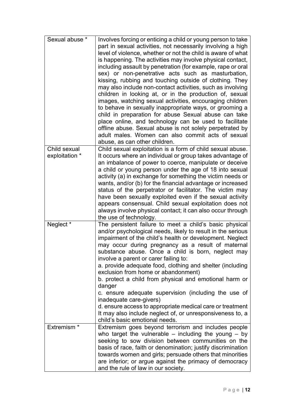| Sexual abuse *         | Involves forcing or enticing a child or young person to take                                     |
|------------------------|--------------------------------------------------------------------------------------------------|
|                        | part in sexual activities, not necessarily involving a high                                      |
|                        | level of violence, whether or not the child is aware of what                                     |
|                        | is happening. The activities may involve physical contact,                                       |
|                        | including assault by penetration (for example, rape or oral                                      |
|                        | sex) or non-penetrative acts such as masturbation,                                               |
|                        | kissing, rubbing and touching outside of clothing. They                                          |
|                        | may also include non-contact activities, such as involving                                       |
|                        | children in looking at, or in the production of, sexual                                          |
|                        |                                                                                                  |
|                        | images, watching sexual activities, encouraging children                                         |
|                        | to behave in sexually inappropriate ways, or grooming a                                          |
|                        | child in preparation for abuse Sexual abuse can take                                             |
|                        | place online, and technology can be used to facilitate                                           |
|                        | offline abuse. Sexual abuse is not solely perpetrated by                                         |
|                        | adult males. Women can also commit acts of sexual                                                |
|                        | abuse, as can other children.                                                                    |
| Child sexual           | Child sexual exploitation is a form of child sexual abuse.                                       |
| exploitation *         | It occurs where an individual or group takes advantage of                                        |
|                        | an imbalance of power to coerce, manipulate or deceive                                           |
|                        | a child or young person under the age of 18 into sexual                                          |
|                        | activity (a) in exchange for something the victim needs or                                       |
|                        | wants, and/or (b) for the financial advantage or increased                                       |
|                        | status of the perpetrator or facilitator. The victim may                                         |
|                        | have been sexually exploited even if the sexual activity                                         |
|                        | appears consensual. Child sexual exploitation does not                                           |
|                        | always involve physical contact; it can also occur through                                       |
|                        | the use of technology.                                                                           |
| Neglect*               | The persistent failure to meet a child's basic physical                                          |
|                        | and/or psychological needs, likely to result in the serious                                      |
|                        | impairment of the child's health or development. Neglect                                         |
|                        | may occur during pregnancy as a result of maternal                                               |
|                        | substance abuse. Once a child is born, neglect may                                               |
|                        | involve a parent or carer failing to:                                                            |
|                        | a. provide adequate food, clothing and shelter (including<br>exclusion from home or abandonment) |
|                        |                                                                                                  |
|                        | b. protect a child from physical and emotional harm or                                           |
|                        | danger                                                                                           |
|                        | c. ensure adequate supervision (including the use of<br>inadequate care-givers)                  |
|                        | d. ensure access to appropriate medical care or treatment                                        |
|                        | It may also include neglect of, or unresponsiveness to, a                                        |
|                        | child's basic emotional needs.                                                                   |
| Extremism <sup>*</sup> | Extremism goes beyond terrorism and includes people                                              |
|                        | who target the vulnerable $-$ including the young $-$ by                                         |
|                        | seeking to sow division between communities on the                                               |
|                        | basis of race, faith or denomination; justify discrimination                                     |
|                        |                                                                                                  |
|                        | towards women and girls; persuade others that minorities                                         |
|                        | are inferior; or argue against the primacy of democracy                                          |
|                        | and the rule of law in our society.                                                              |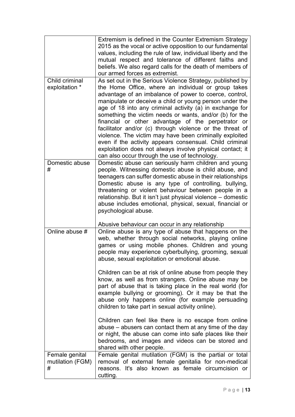|                                    | Extremism is defined in the Counter Extremism Strategy                               |
|------------------------------------|--------------------------------------------------------------------------------------|
|                                    | 2015 as the vocal or active opposition to our fundamental                            |
|                                    | values, including the rule of law, individual liberty and the                        |
|                                    | mutual respect and tolerance of different faiths and                                 |
|                                    | beliefs. We also regard calls for the death of members of                            |
|                                    | our armed forces as extremist.                                                       |
| Child criminal                     | As set out in the Serious Violence Strategy, published by                            |
| exploitation *                     | the Home Office, where an individual or group takes                                  |
|                                    | advantage of an imbalance of power to coerce, control,                               |
|                                    | manipulate or deceive a child or young person under the                              |
|                                    | age of 18 into any criminal activity (a) in exchange for                             |
|                                    | something the victim needs or wants, and/or (b) for the                              |
|                                    | financial or other advantage of the perpetrator or                                   |
|                                    |                                                                                      |
|                                    | facilitator and/or (c) through violence or the threat of                             |
|                                    | violence. The victim may have been criminally exploited                              |
|                                    | even if the activity appears consensual. Child criminal                              |
|                                    | exploitation does not always involve physical contact; it                            |
|                                    | can also occur through the use of technology.                                        |
| Domestic abuse                     | Domestic abuse can seriously harm children and young                                 |
| #                                  | people. Witnessing domestic abuse is child abuse, and                                |
|                                    | teenagers can suffer domestic abuse in their relationships                           |
|                                    | Domestic abuse is any type of controlling, bullying,                                 |
|                                    | threatening or violent behaviour between people in a                                 |
|                                    | relationship. But it isn't just physical violence – domestic                         |
|                                    | abuse includes emotional, physical, sexual, financial or                             |
|                                    | psychological abuse.                                                                 |
|                                    | Abusive behaviour can occur in any relationship                                      |
| Online abuse #                     | Online abuse is any type of abuse that happens on the                                |
|                                    | web, whether through social networks, playing online                                 |
|                                    | games or using mobile phones. Children and young                                     |
|                                    | people may experience cyberbullying, grooming, sexual                                |
|                                    | abuse, sexual exploitation or emotional abuse.                                       |
|                                    |                                                                                      |
|                                    | Children can be at risk of online abuse from people they                             |
|                                    | know, as well as from strangers. Online abuse may be                                 |
|                                    | part of abuse that is taking place in the real world (for                            |
|                                    | example bullying or grooming). Or it may be that the                                 |
|                                    | abuse only happens online (for example persuading                                    |
|                                    | children to take part in sexual activity online).                                    |
|                                    |                                                                                      |
|                                    | Children can feel like there is no escape from online                                |
|                                    | abuse – abusers can contact them at any time of the day                              |
|                                    | or night, the abuse can come into safe places like their                             |
|                                    | bedrooms, and images and videos can be stored and                                    |
|                                    | shared with other people.<br>Female genital mutilation (FGM) is the partial or total |
| Female genital<br>mutilation (FGM) | removal of external female genitalia for non-medical                                 |
| #                                  | reasons. It's also known as female circumcision or                                   |
|                                    | cutting.                                                                             |
|                                    |                                                                                      |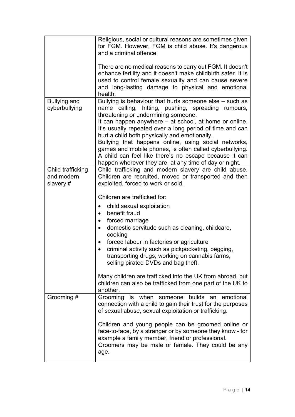|                                             | Religious, social or cultural reasons are sometimes given<br>for FGM. However, FGM is child abuse. It's dangerous<br>and a criminal offence.                                                                                                                                                                                                                                                                                                                                                                                                                       |
|---------------------------------------------|--------------------------------------------------------------------------------------------------------------------------------------------------------------------------------------------------------------------------------------------------------------------------------------------------------------------------------------------------------------------------------------------------------------------------------------------------------------------------------------------------------------------------------------------------------------------|
|                                             | There are no medical reasons to carry out FGM. It doesn't<br>enhance fertility and it doesn't make childbirth safer. It is<br>used to control female sexuality and can cause severe<br>and long-lasting damage to physical and emotional<br>health.                                                                                                                                                                                                                                                                                                                |
| <b>Bullying and</b><br>cyberbullying        | Bullying is behaviour that hurts someone else - such as<br>name calling, hitting, pushing, spreading rumours,<br>threatening or undermining someone.<br>It can happen anywhere – at school, at home or online.<br>It's usually repeated over a long period of time and can<br>hurt a child both physically and emotionally.<br>Bullying that happens online, using social networks,<br>games and mobile phones, is often called cyberbullying.<br>A child can feel like there's no escape because it can<br>happen wherever they are, at any time of day or night. |
| Child trafficking<br>and modern<br>slavery# | Child trafficking and modern slavery are child abuse.<br>Children are recruited, moved or transported and then<br>exploited, forced to work or sold.                                                                                                                                                                                                                                                                                                                                                                                                               |
|                                             | Children are trafficked for:<br>child sexual exploitation<br>$\bullet$<br>benefit fraud<br>$\bullet$<br>forced marriage<br>$\bullet$<br>domestic servitude such as cleaning, childcare,<br>$\bullet$<br>cooking<br>forced labour in factories or agriculture<br>$\bullet$<br>criminal activity such as pickpocketing, begging,<br>transporting drugs, working on cannabis farms,<br>selling pirated DVDs and bag theft.<br>Many children are trafficked into the UK from abroad, but<br>children can also be trafficked from one part of the UK to<br>another.     |
| Grooming #                                  | Grooming is when someone builds an emotional<br>connection with a child to gain their trust for the purposes<br>of sexual abuse, sexual exploitation or trafficking.<br>Children and young people can be groomed online or<br>face-to-face, by a stranger or by someone they know - for<br>example a family member, friend or professional.<br>Groomers may be male or female. They could be any<br>age.                                                                                                                                                           |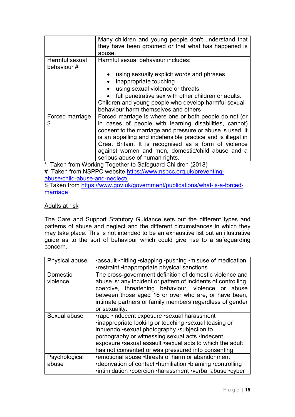|                              | Many children and young people don't understand that<br>they have been groomed or that what has happened is<br>abuse.                                                                                                                                                                                                                                                                        |  |
|------------------------------|----------------------------------------------------------------------------------------------------------------------------------------------------------------------------------------------------------------------------------------------------------------------------------------------------------------------------------------------------------------------------------------------|--|
| Harmful sexual<br>behaviour# | Harmful sexual behaviour includes:                                                                                                                                                                                                                                                                                                                                                           |  |
|                              | using sexually explicit words and phrases                                                                                                                                                                                                                                                                                                                                                    |  |
|                              | inappropriate touching                                                                                                                                                                                                                                                                                                                                                                       |  |
|                              | using sexual violence or threats                                                                                                                                                                                                                                                                                                                                                             |  |
|                              | full penetrative sex with other children or adults.                                                                                                                                                                                                                                                                                                                                          |  |
|                              | Children and young people who develop harmful sexual                                                                                                                                                                                                                                                                                                                                         |  |
|                              | behaviour harm themselves and others                                                                                                                                                                                                                                                                                                                                                         |  |
| Forced marriage<br>\$        | Forced marriage is where one or both people do not (or<br>in cases of people with learning disabilities, cannot)<br>consent to the marriage and pressure or abuse is used. It<br>is an appalling and indefensible practice and is illegal in<br>Great Britain. It is recognised as a form of violence<br>against women and men, domestic/child abuse and a<br>serious abuse of human rights. |  |
| $\mathbf{v}$                 | $\tau$ $\theta$ $\theta$ $\theta$ $\theta$ $\theta$ $\theta$<br>$\sqrt{2}$                                                                                                                                                                                                                                                                                                                   |  |

\* Taken from Working Together to Safeguard Children (2018) # Taken from NSPPC website [https://www.nspcc.org.uk/preventing](https://www.nspcc.org.uk/preventing-abuse/child-abuse-and-neglect/)[abuse/child-abuse-and-neglect/](https://www.nspcc.org.uk/preventing-abuse/child-abuse-and-neglect/) \$ Taken from [https://www.gov.uk/government/publications/what-is-a-forced](https://www.gov.uk/government/publications/what-is-a-forced-marriage)[marriage](https://www.gov.uk/government/publications/what-is-a-forced-marriage)

#### Adults at risk

The Care and Support Statutory Guidance sets out the different types and patterns of abuse and neglect and the different circumstances in which they may take place. This is not intended to be an exhaustive list but an illustrative guide as to the sort of behaviour which could give rise to a safeguarding concern.

| Physical abuse         | •assault •hitting •slapping •pushing •misuse of medication<br>•restraint •inappropriate physical sanctions                                                                                                                                                                                                               |  |
|------------------------|--------------------------------------------------------------------------------------------------------------------------------------------------------------------------------------------------------------------------------------------------------------------------------------------------------------------------|--|
| Domestic<br>violence   | The cross-government definition of domestic violence and<br>abuse is: any incident or pattern of incidents of controlling,<br>coercive, threatening behaviour, violence or abuse<br>between those aged 16 or over who are, or have been,<br>intimate partners or family members regardless of gender<br>or sexuality.    |  |
| Sexual abuse           | •rape •indecent exposure •sexual harassment<br>.inappropriate looking or touching .sexual teasing or<br>innuendo •sexual photography •subjection to<br>pornography or witnessing sexual acts •indecent<br>exposure •sexual assault •sexual acts to which the adult<br>has not consented or was pressured into consenting |  |
| Psychological<br>abuse | •emotional abuse •threats of harm or abandonment<br>•deprivation of contact •humiliation •blaming •controlling<br>•intimidation •coercion •harassment •verbal abuse •cyber                                                                                                                                               |  |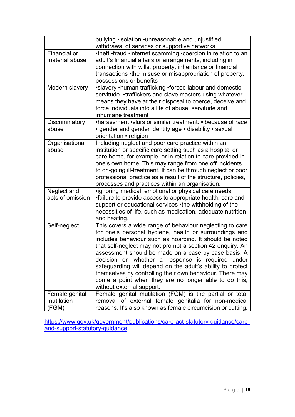|                                       | bullying •isolation •unreasonable and unjustified                                                                                                                                                                                                                                                                                                                                                                                                                                                                                                                      |
|---------------------------------------|------------------------------------------------------------------------------------------------------------------------------------------------------------------------------------------------------------------------------------------------------------------------------------------------------------------------------------------------------------------------------------------------------------------------------------------------------------------------------------------------------------------------------------------------------------------------|
|                                       | withdrawal of services or supportive networks                                                                                                                                                                                                                                                                                                                                                                                                                                                                                                                          |
| Financial or<br>material abuse        | •theft •fraud •internet scamming •coercion in relation to an<br>adult's financial affairs or arrangements, including in<br>connection with wills, property, inheritance or financial<br>transactions •the misuse or misappropriation of property,<br>possessions or benefits                                                                                                                                                                                                                                                                                           |
| Modern slavery                        | •slavery •human trafficking •forced labour and domestic<br>servitude. •traffickers and slave masters using whatever<br>means they have at their disposal to coerce, deceive and<br>force individuals into a life of abuse, servitude and<br>inhumane treatment                                                                                                                                                                                                                                                                                                         |
| Discriminatory<br>abuse               | •harassment •slurs or similar treatment: • because of race<br>gender and gender identity age · disability · sexual<br>orientation · religion                                                                                                                                                                                                                                                                                                                                                                                                                           |
| Organisational<br>abuse               | Including neglect and poor care practice within an<br>institution or specific care setting such as a hospital or<br>care home, for example, or in relation to care provided in<br>one's own home. This may range from one off incidents<br>to on-going ill-treatment. It can be through neglect or poor<br>professional practice as a result of the structure, policies,<br>processes and practices within an organisation.                                                                                                                                            |
| Neglect and<br>acts of omission       | •ignoring medical, emotional or physical care needs<br>•failure to provide access to appropriate health, care and<br>support or educational services . the withholding of the<br>necessities of life, such as medication, adequate nutrition<br>and heating.                                                                                                                                                                                                                                                                                                           |
| Self-neglect                          | This covers a wide range of behaviour neglecting to care<br>for one's personal hygiene, health or surroundings and<br>includes behaviour such as hoarding. It should be noted<br>that self-neglect may not prompt a section 42 enquiry. An<br>assessment should be made on a case by case basis. A<br>decision on whether a response is required under<br>safeguarding will depend on the adult's ability to protect<br>themselves by controlling their own behaviour. There may<br>come a point when they are no longer able to do this,<br>without external support. |
| Female genital<br>mutilation<br>(FGM) | Female genital mutilation (FGM) is the partial or total<br>removal of external female genitalia for non-medical<br>reasons. It's also known as female circumcision or cutting.                                                                                                                                                                                                                                                                                                                                                                                         |

[https://www.gov.uk/government/publications/care-act-statutory-guidance/care](https://www.gov.uk/government/publications/care-act-statutory-guidance/care-and-support-statutory-guidance)[and-support-statutory-guidance](https://www.gov.uk/government/publications/care-act-statutory-guidance/care-and-support-statutory-guidance)